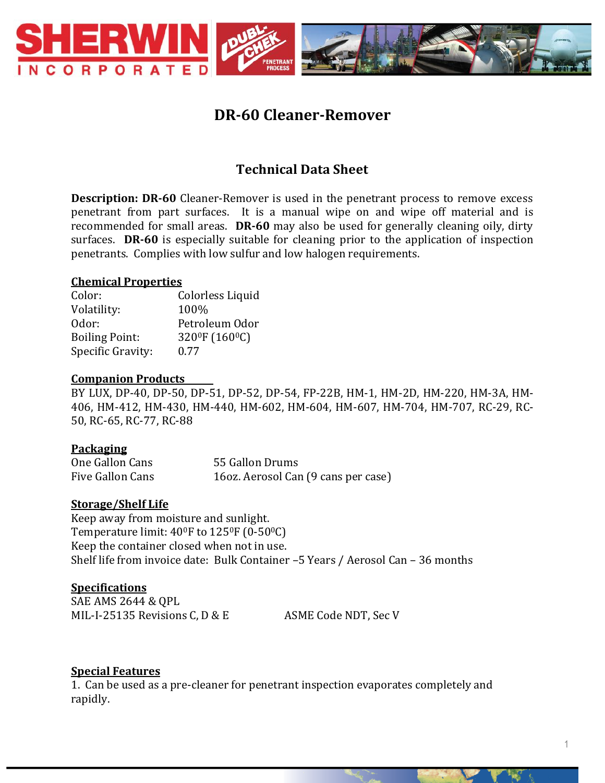

# **DR-60 Cleaner-Remover**

## **Technical Data Sheet**

**Description: DR-60** Cleaner-Remover is used in the penetrant process to remove excess penetrant from part surfaces. It is a manual wipe on and wipe off material and is recommended for small areas. **DR-60** may also be used for generally cleaning oily, dirty surfaces. **DR-60** is especially suitable for cleaning prior to the application of inspection penetrants. Complies with low sulfur and low halogen requirements.

#### **Chemical Properties**

| Colorless Liquid                        |
|-----------------------------------------|
| 100%                                    |
| Petroleum Odor                          |
| 320 <sup>0</sup> F (160 <sup>0</sup> C) |
| 0.77                                    |
|                                         |

#### **Companion Products**

BY LUX, DP-40, DP-50, DP-51, DP-52, DP-54, FP-22B, HM-1, HM-2D, HM-220, HM-3A, HM-406, HM-412, HM-430, HM-440, HM-602, HM-604, HM-607, HM-704, HM-707, RC-29, RC-50, RC-65, RC-77, RC-88

#### **Packaging**

| One Gallon Cans  | 55 Gallon Drums                     |
|------------------|-------------------------------------|
| Five Gallon Cans | 16oz. Aerosol Can (9 cans per case) |

#### **Storage/Shelf Life**

Keep away from moisture and sunlight. Temperature limit:  $40^{\circ}$ F to  $125^{\circ}$ F (0-50 $^{\circ}$ C) Keep the container closed when not in use. Shelf life from invoice date: Bulk Container –5 Years / Aerosol Can – 36 months

## **Specifications**

SAE AMS 2644 & QPL MIL-I-25135 Revisions C, D & E ASME Code NDT, Sec V

## **Special Features**

1. Can be used as a pre-cleaner for penetrant inspection evaporates completely and rapidly.